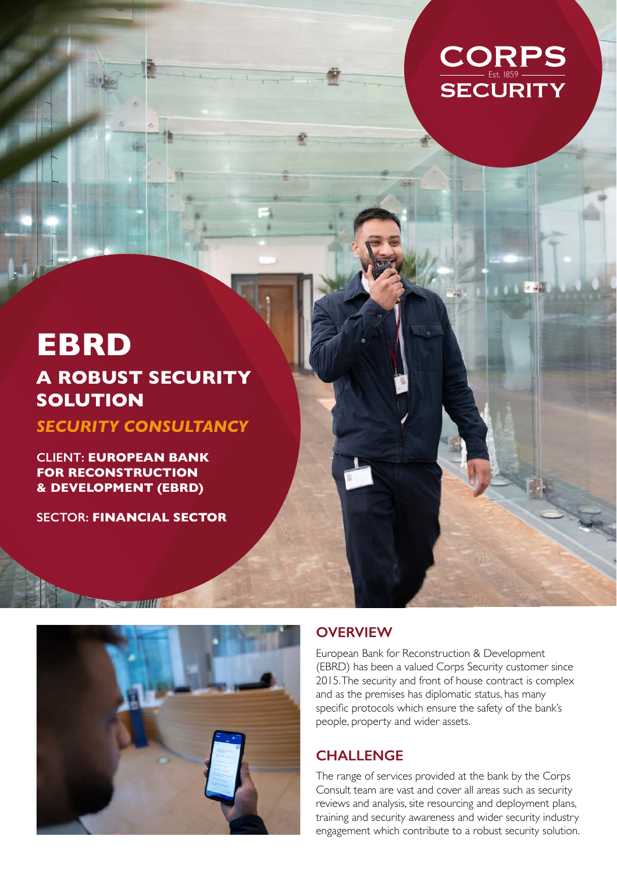

# **EBRD A ROBUST SECURITY SOLUTION**

*SECURITY CONSULTANCY*

**CLIENT: EUROPEAN BANK FOR RECONSTRUCTION & DEVELOPMENT (EBRD)**

**SECTOR: FINANCIAL SECTOR**

**Views-appellities** 



#### **OVERVIEW**

European Bank for Reconstruction & Development (EBRD) has been a valued Corps Security customer since 2015. The security and front of house contract is complex and as the premises has diplomatic status, has many specific protocols which ensure the safety of the bank's people, property and wider assets.

### **CHALLENGE**

The range of services provided at the bank by the Corps Consult team are vast and cover all areas such as security reviews and analysis, site resourcing and deployment plans, training and security awareness and wider security industry engagement which contribute to a robust security solution.